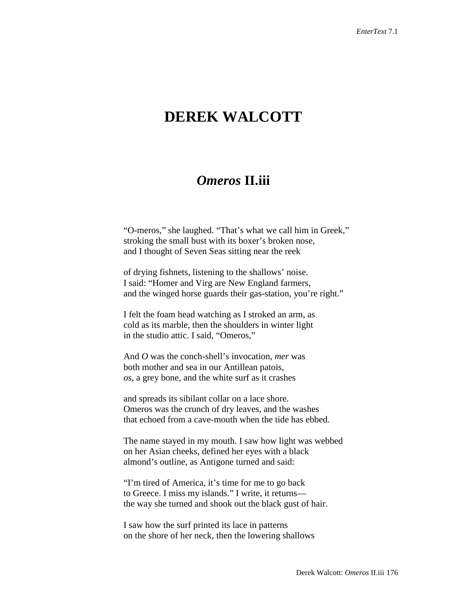## **DEREK WALCOTT**

## *Omeros* **II.iii**

"O-meros," she laughed. "That's what we call him in Greek," stroking the small bust with its boxer's broken nose, and I thought of Seven Seas sitting near the reek

of drying fishnets, listening to the shallows' noise. I said: "Homer and Virg are New England farmers, and the winged horse guards their gas-station, you're right."

I felt the foam head watching as I stroked an arm, as cold as its marble, then the shoulders in winter light in the studio attic. I said, "Omeros,"

And *O* was the conch-shell's invocation, *mer* was both mother and sea in our Antillean patois, *os,* a grey bone, and the white surf as it crashes

and spreads its sibilant collar on a lace shore. Omeros was the crunch of dry leaves, and the washes that echoed from a cave-mouth when the tide has ebbed.

The name stayed in my mouth. I saw how light was webbed on her Asian cheeks, defined her eyes with a black almond's outline, as Antigone turned and said:

"I'm tired of America, it's time for me to go back to Greece. I miss my islands." I write, it returns the way she turned and shook out the black gust of hair.

I saw how the surf printed its lace in patterns on the shore of her neck, then the lowering shallows